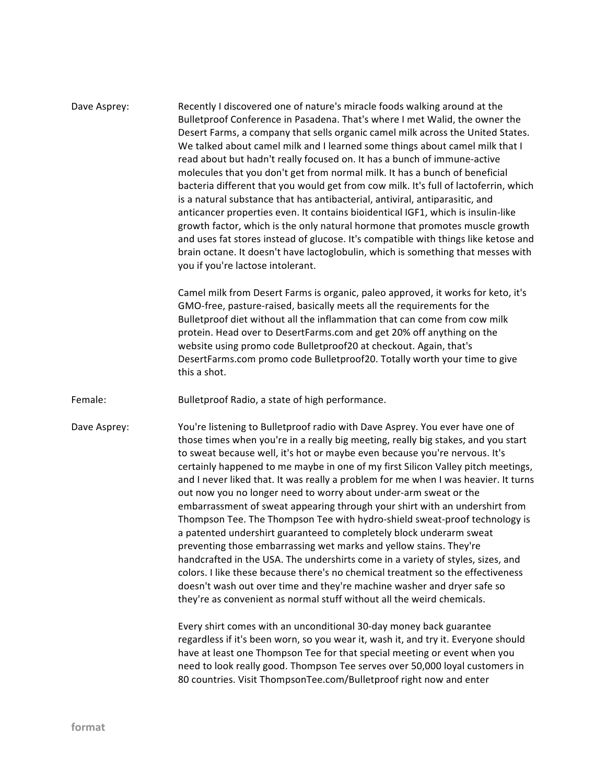Dave Asprey: Recently I discovered one of nature's miracle foods walking around at the Bulletproof Conference in Pasadena. That's where I met Walid, the owner the Desert Farms, a company that sells organic camel milk across the United States. We talked about camel milk and I learned some things about camel milk that I read about but hadn't really focused on. It has a bunch of immune-active molecules that you don't get from normal milk. It has a bunch of beneficial bacteria different that you would get from cow milk. It's full of lactoferrin, which is a natural substance that has antibacterial, antiviral, antiparasitic, and anticancer properties even. It contains bioidentical IGF1, which is insulin-like growth factor, which is the only natural hormone that promotes muscle growth and uses fat stores instead of glucose. It's compatible with things like ketose and brain octane. It doesn't have lactoglobulin, which is something that messes with you if you're lactose intolerant.

> Camel milk from Desert Farms is organic, paleo approved, it works for keto, it's GMO-free, pasture-raised, basically meets all the requirements for the Bulletproof diet without all the inflammation that can come from cow milk protein. Head over to DesertFarms.com and get 20% off anything on the website using promo code Bulletproof20 at checkout. Again, that's DesertFarms.com promo code Bulletproof20. Totally worth your time to give this a shot.

Female: Bulletproof Radio, a state of high performance.

Dave Asprey: You're listening to Bulletproof radio with Dave Asprey. You ever have one of those times when you're in a really big meeting, really big stakes, and you start to sweat because well, it's hot or maybe even because you're nervous. It's certainly happened to me maybe in one of my first Silicon Valley pitch meetings, and I never liked that. It was really a problem for me when I was heavier. It turns out now you no longer need to worry about under-arm sweat or the embarrassment of sweat appearing through your shirt with an undershirt from Thompson Tee. The Thompson Tee with hydro-shield sweat-proof technology is a patented undershirt guaranteed to completely block underarm sweat preventing those embarrassing wet marks and yellow stains. They're handcrafted in the USA. The undershirts come in a variety of styles, sizes, and colors. I like these because there's no chemical treatment so the effectiveness doesn't wash out over time and they're machine washer and dryer safe so they're as convenient as normal stuff without all the weird chemicals.

> Every shirt comes with an unconditional 30-day money back guarantee regardless if it's been worn, so you wear it, wash it, and try it. Everyone should have at least one Thompson Tee for that special meeting or event when you need to look really good. Thompson Tee serves over 50,000 loyal customers in 80 countries. Visit ThompsonTee.com/Bulletproof right now and enter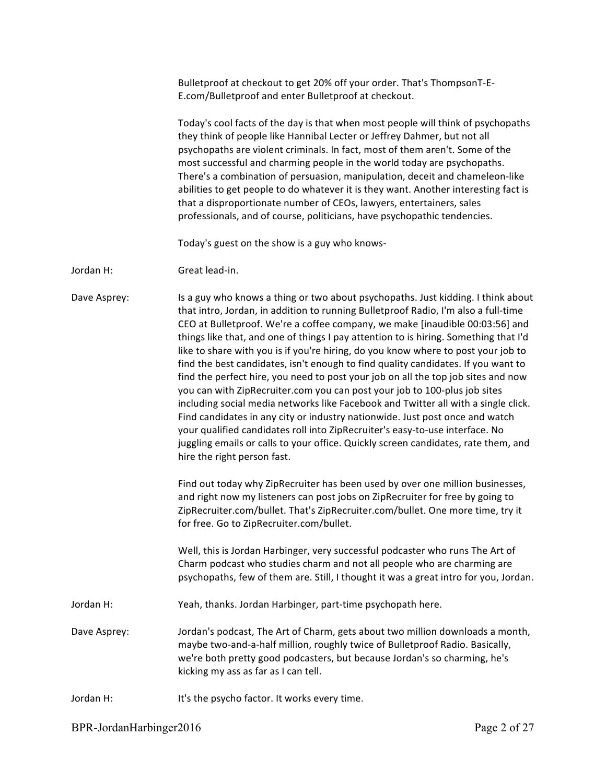Bulletproof at checkout to get 20% off your order. That's ThompsonT-E-E.com/Bulletproof and enter Bulletproof at checkout.

Today's cool facts of the day is that when most people will think of psychopaths they think of people like Hannibal Lecter or Jeffrey Dahmer, but not all psychopaths are violent criminals. In fact, most of them aren't. Some of the most successful and charming people in the world today are psychopaths. There's a combination of persuasion, manipulation, deceit and chameleon-like abilities to get people to do whatever it is they want. Another interesting fact is that a disproportionate number of CEOs, lawyers, entertainers, sales professionals, and of course, politicians, have psychopathic tendencies.

Today's guest on the show is a guy who knows-

Jordan H: Great lead-in.

Dave Asprey: Is a guy who knows a thing or two about psychopaths. Just kidding. I think about that intro, Jordan, in addition to running Bulletproof Radio, I'm also a full-time CEO at Bulletproof. We're a coffee company, we make [inaudible 00:03:56] and things like that, and one of things I pay attention to is hiring. Something that I'd like to share with you is if you're hiring, do you know where to post your job to find the best candidates, isn't enough to find quality candidates. If you want to find the perfect hire, you need to post your job on all the top job sites and now you can with ZipRecruiter.com you can post your job to 100-plus job sites including social media networks like Facebook and Twitter all with a single click. Find candidates in any city or industry nationwide. Just post once and watch your qualified candidates roll into ZipRecruiter's easy-to-use interface. No juggling emails or calls to your office. Quickly screen candidates, rate them, and hire the right person fast.

> Find out today why ZipRecruiter has been used by over one million businesses, and right now my listeners can post jobs on ZipRecruiter for free by going to ZipRecruiter.com/bullet. That's ZipRecruiter.com/bullet. One more time, try it for free. Go to ZipRecruiter.com/bullet.

Well, this is Jordan Harbinger, very successful podcaster who runs The Art of Charm podcast who studies charm and not all people who are charming are psychopaths, few of them are. Still, I thought it was a great intro for you, Jordan.

Jordan H: Yeah, thanks. Jordan Harbinger, part-time psychopath here.

Dave Asprey: Jordan's podcast, The Art of Charm, gets about two million downloads a month, maybe two-and-a-half million, roughly twice of Bulletproof Radio. Basically, we're both pretty good podcasters, but because Jordan's so charming, he's kicking my ass as far as I can tell.

Jordan H: It's the psycho factor. It works every time.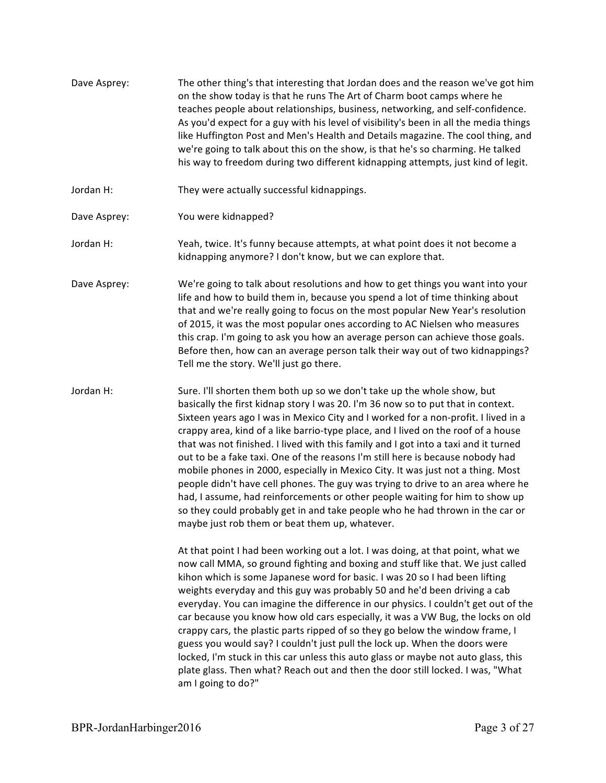Dave Asprey: The other thing's that interesting that Jordan does and the reason we've got him on the show today is that he runs The Art of Charm boot camps where he teaches people about relationships, business, networking, and self-confidence. As you'd expect for a guy with his level of visibility's been in all the media things like Huffington Post and Men's Health and Details magazine. The cool thing, and we're going to talk about this on the show, is that he's so charming. He talked his way to freedom during two different kidnapping attempts, just kind of legit. Jordan H: They were actually successful kidnappings. Dave Asprey: You were kidnapped? Jordan H: Yeah, twice. It's funny because attempts, at what point does it not become a kidnapping anymore? I don't know, but we can explore that. Dave Asprey: We're going to talk about resolutions and how to get things you want into your life and how to build them in, because you spend a lot of time thinking about that and we're really going to focus on the most popular New Year's resolution of 2015, it was the most popular ones according to AC Nielsen who measures this crap. I'm going to ask you how an average person can achieve those goals. Before then, how can an average person talk their way out of two kidnappings? Tell me the story. We'll just go there. Jordan H: Sure. I'll shorten them both up so we don't take up the whole show, but basically the first kidnap story I was 20. I'm 36 now so to put that in context. Sixteen years ago I was in Mexico City and I worked for a non-profit. I lived in a crappy area, kind of a like barrio-type place, and I lived on the roof of a house that was not finished. I lived with this family and I got into a taxi and it turned out to be a fake taxi. One of the reasons I'm still here is because nobody had mobile phones in 2000, especially in Mexico City. It was just not a thing. Most people didn't have cell phones. The guy was trying to drive to an area where he had, I assume, had reinforcements or other people waiting for him to show up so they could probably get in and take people who he had thrown in the car or maybe just rob them or beat them up, whatever. At that point I had been working out a lot. I was doing, at that point, what we now call MMA, so ground fighting and boxing and stuff like that. We just called kihon which is some Japanese word for basic. I was 20 so I had been lifting weights everyday and this guy was probably 50 and he'd been driving a cab everyday. You can imagine the difference in our physics. I couldn't get out of the car because you know how old cars especially, it was a VW Bug, the locks on old

> crappy cars, the plastic parts ripped of so they go below the window frame, I guess you would say? I couldn't just pull the lock up. When the doors were locked, I'm stuck in this car unless this auto glass or maybe not auto glass, this plate glass. Then what? Reach out and then the door still locked. I was, "What am I going to do?"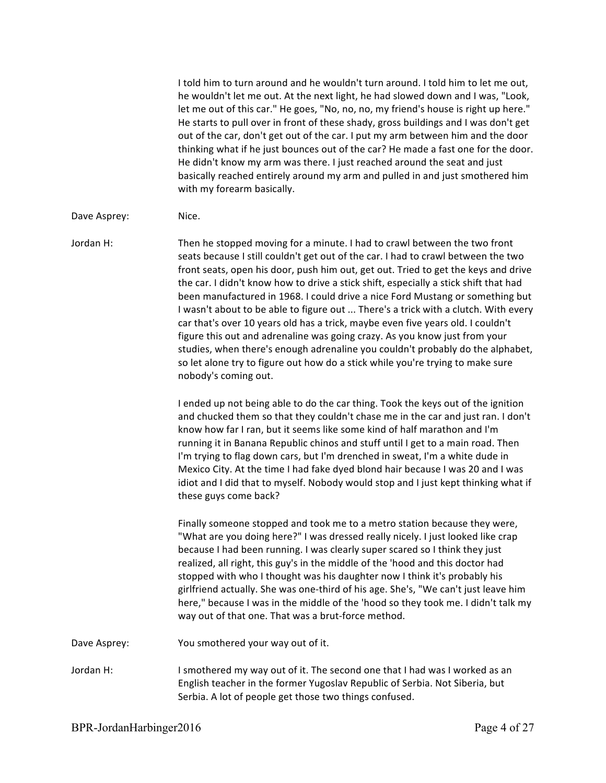I told him to turn around and he wouldn't turn around. I told him to let me out, he wouldn't let me out. At the next light, he had slowed down and I was, "Look, let me out of this car." He goes, "No, no, no, my friend's house is right up here." He starts to pull over in front of these shady, gross buildings and I was don't get out of the car, don't get out of the car. I put my arm between him and the door thinking what if he just bounces out of the car? He made a fast one for the door. He didn't know my arm was there. I just reached around the seat and just basically reached entirely around my arm and pulled in and just smothered him with my forearm basically.

Dave Asprey: Nice.

Jordan H: Then he stopped moving for a minute. I had to crawl between the two front seats because I still couldn't get out of the car. I had to crawl between the two front seats, open his door, push him out, get out. Tried to get the keys and drive the car. I didn't know how to drive a stick shift, especially a stick shift that had been manufactured in 1968. I could drive a nice Ford Mustang or something but I wasn't about to be able to figure out ... There's a trick with a clutch. With every car that's over 10 years old has a trick, maybe even five years old. I couldn't figure this out and adrenaline was going crazy. As you know just from your studies, when there's enough adrenaline you couldn't probably do the alphabet, so let alone try to figure out how do a stick while you're trying to make sure nobody's coming out.

> I ended up not being able to do the car thing. Took the keys out of the ignition and chucked them so that they couldn't chase me in the car and just ran. I don't know how far I ran, but it seems like some kind of half marathon and I'm running it in Banana Republic chinos and stuff until I get to a main road. Then I'm trying to flag down cars, but I'm drenched in sweat, I'm a white dude in Mexico City. At the time I had fake dyed blond hair because I was 20 and I was idiot and I did that to myself. Nobody would stop and I just kept thinking what if these guys come back?

> Finally someone stopped and took me to a metro station because they were, "What are you doing here?" I was dressed really nicely. I just looked like crap because I had been running. I was clearly super scared so I think they just realized, all right, this guy's in the middle of the 'hood and this doctor had stopped with who I thought was his daughter now I think it's probably his girlfriend actually. She was one-third of his age. She's, "We can't just leave him here," because I was in the middle of the 'hood so they took me. I didn't talk my way out of that one. That was a brut-force method.

Dave Asprey: You smothered your way out of it.

Jordan H: I smothered my way out of it. The second one that I had was I worked as an English teacher in the former Yugoslav Republic of Serbia. Not Siberia, but Serbia. A lot of people get those two things confused.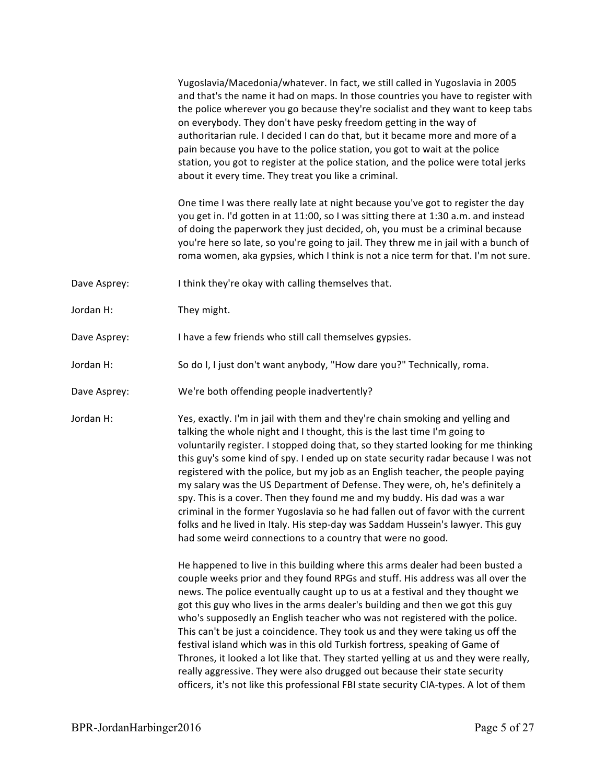Yugoslavia/Macedonia/whatever. In fact, we still called in Yugoslavia in 2005 and that's the name it had on maps. In those countries you have to register with the police wherever you go because they're socialist and they want to keep tabs on everybody. They don't have pesky freedom getting in the way of authoritarian rule. I decided I can do that, but it became more and more of a pain because you have to the police station, you got to wait at the police station, you got to register at the police station, and the police were total jerks about it every time. They treat you like a criminal.

One time I was there really late at night because you've got to register the day you get in. I'd gotten in at 11:00, so I was sitting there at 1:30 a.m. and instead of doing the paperwork they just decided, oh, you must be a criminal because you're here so late, so you're going to jail. They threw me in jail with a bunch of roma women, aka gypsies, which I think is not a nice term for that. I'm not sure.

- Dave Asprey: I think they're okay with calling themselves that.
- Jordan H: They might.
- Dave Asprey: I have a few friends who still call themselves gypsies.
- Jordan H: So do I, I just don't want anybody, "How dare you?" Technically, roma.
- Dave Asprey: We're both offending people inadvertently?

Jordan H: Yes, exactly. I'm in jail with them and they're chain smoking and yelling and talking the whole night and I thought, this is the last time I'm going to voluntarily register. I stopped doing that, so they started looking for me thinking this guy's some kind of spy. I ended up on state security radar because I was not registered with the police, but my job as an English teacher, the people paying my salary was the US Department of Defense. They were, oh, he's definitely a spy. This is a cover. Then they found me and my buddy. His dad was a war criminal in the former Yugoslavia so he had fallen out of favor with the current folks and he lived in Italy. His step-day was Saddam Hussein's lawyer. This guy had some weird connections to a country that were no good.

> He happened to live in this building where this arms dealer had been busted a couple weeks prior and they found RPGs and stuff. His address was all over the news. The police eventually caught up to us at a festival and they thought we got this guy who lives in the arms dealer's building and then we got this guy who's supposedly an English teacher who was not registered with the police. This can't be just a coincidence. They took us and they were taking us off the festival island which was in this old Turkish fortress, speaking of Game of Thrones, it looked a lot like that. They started yelling at us and they were really, really aggressive. They were also drugged out because their state security officers, it's not like this professional FBI state security CIA-types. A lot of them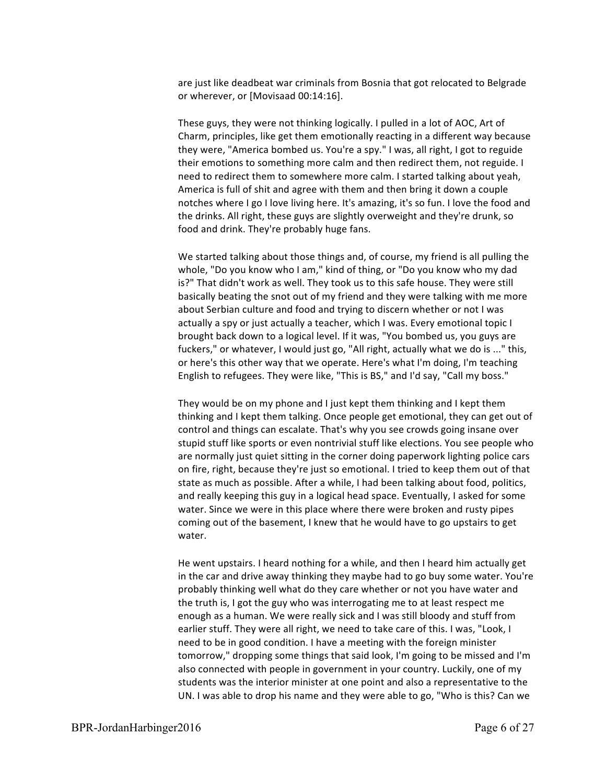are just like deadbeat war criminals from Bosnia that got relocated to Belgrade or wherever, or [Movisaad 00:14:16].

These guys, they were not thinking logically. I pulled in a lot of AOC, Art of Charm, principles, like get them emotionally reacting in a different way because they were, "America bombed us. You're a spy." I was, all right, I got to reguide their emotions to something more calm and then redirect them, not reguide. I need to redirect them to somewhere more calm. I started talking about yeah, America is full of shit and agree with them and then bring it down a couple notches where I go I love living here. It's amazing, it's so fun. I love the food and the drinks. All right, these guys are slightly overweight and they're drunk, so food and drink. They're probably huge fans.

We started talking about those things and, of course, my friend is all pulling the whole, "Do you know who I am," kind of thing, or "Do you know who my dad is?" That didn't work as well. They took us to this safe house. They were still basically beating the snot out of my friend and they were talking with me more about Serbian culture and food and trying to discern whether or not I was actually a spy or just actually a teacher, which I was. Every emotional topic I brought back down to a logical level. If it was, "You bombed us, you guys are fuckers," or whatever, I would just go, "All right, actually what we do is ..." this, or here's this other way that we operate. Here's what I'm doing, I'm teaching English to refugees. They were like, "This is BS," and I'd say, "Call my boss."

They would be on my phone and I just kept them thinking and I kept them thinking and I kept them talking. Once people get emotional, they can get out of control and things can escalate. That's why you see crowds going insane over stupid stuff like sports or even nontrivial stuff like elections. You see people who are normally just quiet sitting in the corner doing paperwork lighting police cars on fire, right, because they're just so emotional. I tried to keep them out of that state as much as possible. After a while, I had been talking about food, politics, and really keeping this guy in a logical head space. Eventually, I asked for some water. Since we were in this place where there were broken and rusty pipes coming out of the basement, I knew that he would have to go upstairs to get water.

He went upstairs. I heard nothing for a while, and then I heard him actually get in the car and drive away thinking they maybe had to go buy some water. You're probably thinking well what do they care whether or not you have water and the truth is, I got the guy who was interrogating me to at least respect me enough as a human. We were really sick and I was still bloody and stuff from earlier stuff. They were all right, we need to take care of this. I was, "Look, I need to be in good condition. I have a meeting with the foreign minister tomorrow," dropping some things that said look, I'm going to be missed and I'm also connected with people in government in your country. Luckily, one of my students was the interior minister at one point and also a representative to the UN. I was able to drop his name and they were able to go, "Who is this? Can we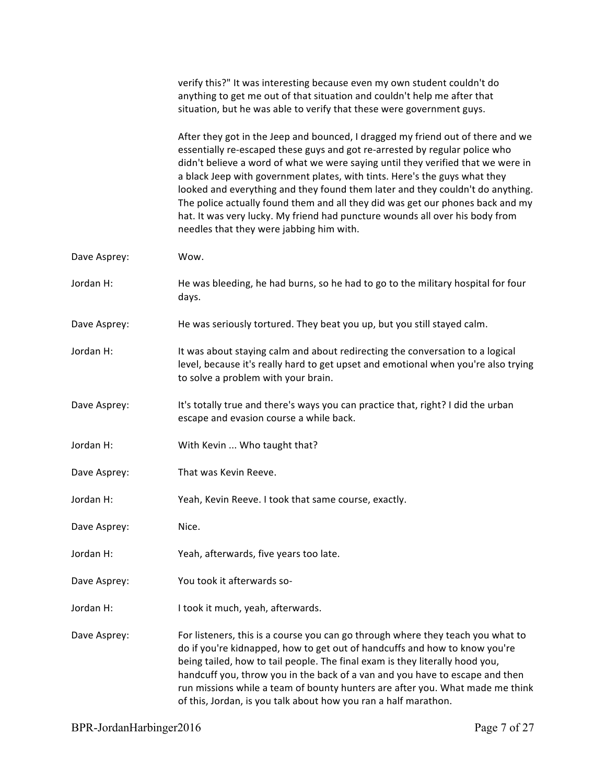|              | verify this?" It was interesting because even my own student couldn't do<br>anything to get me out of that situation and couldn't help me after that<br>situation, but he was able to verify that these were government guys.                                                                                                                                                                                                                                                                                                                                                                                                    |
|--------------|----------------------------------------------------------------------------------------------------------------------------------------------------------------------------------------------------------------------------------------------------------------------------------------------------------------------------------------------------------------------------------------------------------------------------------------------------------------------------------------------------------------------------------------------------------------------------------------------------------------------------------|
|              | After they got in the Jeep and bounced, I dragged my friend out of there and we<br>essentially re-escaped these guys and got re-arrested by regular police who<br>didn't believe a word of what we were saying until they verified that we were in<br>a black Jeep with government plates, with tints. Here's the guys what they<br>looked and everything and they found them later and they couldn't do anything.<br>The police actually found them and all they did was get our phones back and my<br>hat. It was very lucky. My friend had puncture wounds all over his body from<br>needles that they were jabbing him with. |
| Dave Asprey: | Wow.                                                                                                                                                                                                                                                                                                                                                                                                                                                                                                                                                                                                                             |
| Jordan H:    | He was bleeding, he had burns, so he had to go to the military hospital for four<br>days.                                                                                                                                                                                                                                                                                                                                                                                                                                                                                                                                        |
| Dave Asprey: | He was seriously tortured. They beat you up, but you still stayed calm.                                                                                                                                                                                                                                                                                                                                                                                                                                                                                                                                                          |
| Jordan H:    | It was about staying calm and about redirecting the conversation to a logical<br>level, because it's really hard to get upset and emotional when you're also trying<br>to solve a problem with your brain.                                                                                                                                                                                                                                                                                                                                                                                                                       |
| Dave Asprey: | It's totally true and there's ways you can practice that, right? I did the urban<br>escape and evasion course a while back.                                                                                                                                                                                                                                                                                                                                                                                                                                                                                                      |
| Jordan H:    | With Kevin  Who taught that?                                                                                                                                                                                                                                                                                                                                                                                                                                                                                                                                                                                                     |
| Dave Asprey: | That was Kevin Reeve.                                                                                                                                                                                                                                                                                                                                                                                                                                                                                                                                                                                                            |
| Jordan H:    | Yeah, Kevin Reeve. I took that same course, exactly.                                                                                                                                                                                                                                                                                                                                                                                                                                                                                                                                                                             |
| Dave Asprey: | Nice.                                                                                                                                                                                                                                                                                                                                                                                                                                                                                                                                                                                                                            |
| Jordan H:    | Yeah, afterwards, five years too late.                                                                                                                                                                                                                                                                                                                                                                                                                                                                                                                                                                                           |
| Dave Asprey: | You took it afterwards so-                                                                                                                                                                                                                                                                                                                                                                                                                                                                                                                                                                                                       |
| Jordan H:    | I took it much, yeah, afterwards.                                                                                                                                                                                                                                                                                                                                                                                                                                                                                                                                                                                                |
| Dave Asprey: | For listeners, this is a course you can go through where they teach you what to<br>do if you're kidnapped, how to get out of handcuffs and how to know you're<br>being tailed, how to tail people. The final exam is they literally hood you,<br>handcuff you, throw you in the back of a van and you have to escape and then<br>run missions while a team of bounty hunters are after you. What made me think<br>of this, Jordan, is you talk about how you ran a half marathon.                                                                                                                                                |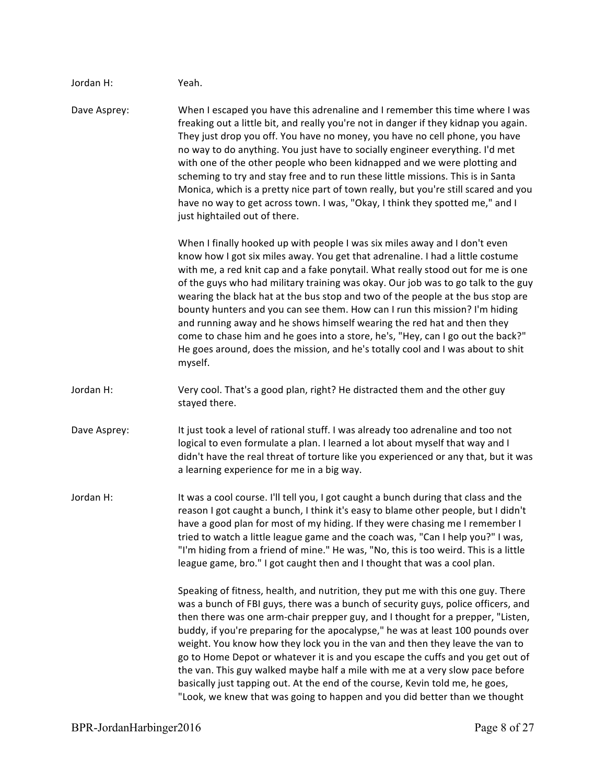| Jordan H:    | Yeah.                                                                                                                                                                                                                                                                                                                                                                                                                                                                                                                                                                                                                                                                                                                                                               |
|--------------|---------------------------------------------------------------------------------------------------------------------------------------------------------------------------------------------------------------------------------------------------------------------------------------------------------------------------------------------------------------------------------------------------------------------------------------------------------------------------------------------------------------------------------------------------------------------------------------------------------------------------------------------------------------------------------------------------------------------------------------------------------------------|
| Dave Asprey: | When I escaped you have this adrenaline and I remember this time where I was<br>freaking out a little bit, and really you're not in danger if they kidnap you again.<br>They just drop you off. You have no money, you have no cell phone, you have<br>no way to do anything. You just have to socially engineer everything. I'd met<br>with one of the other people who been kidnapped and we were plotting and<br>scheming to try and stay free and to run these little missions. This is in Santa<br>Monica, which is a pretty nice part of town really, but you're still scared and you<br>have no way to get across town. I was, "Okay, I think they spotted me," and I<br>just hightailed out of there.                                                       |
|              | When I finally hooked up with people I was six miles away and I don't even<br>know how I got six miles away. You get that adrenaline. I had a little costume<br>with me, a red knit cap and a fake ponytail. What really stood out for me is one<br>of the guys who had military training was okay. Our job was to go talk to the guy<br>wearing the black hat at the bus stop and two of the people at the bus stop are<br>bounty hunters and you can see them. How can I run this mission? I'm hiding<br>and running away and he shows himself wearing the red hat and then they<br>come to chase him and he goes into a store, he's, "Hey, can I go out the back?"<br>He goes around, does the mission, and he's totally cool and I was about to shit<br>myself. |
| Jordan H:    | Very cool. That's a good plan, right? He distracted them and the other guy<br>stayed there.                                                                                                                                                                                                                                                                                                                                                                                                                                                                                                                                                                                                                                                                         |
| Dave Asprey: | It just took a level of rational stuff. I was already too adrenaline and too not<br>logical to even formulate a plan. I learned a lot about myself that way and I<br>didn't have the real threat of torture like you experienced or any that, but it was<br>a learning experience for me in a big way.                                                                                                                                                                                                                                                                                                                                                                                                                                                              |
| Jordan H:    | It was a cool course. I'll tell you, I got caught a bunch during that class and the<br>reason I got caught a bunch, I think it's easy to blame other people, but I didn't<br>have a good plan for most of my hiding. If they were chasing me I remember I<br>tried to watch a little league game and the coach was, "Can I help you?" I was,<br>"I'm hiding from a friend of mine." He was, "No, this is too weird. This is a little<br>league game, bro." I got caught then and I thought that was a cool plan.                                                                                                                                                                                                                                                    |
|              | Speaking of fitness, health, and nutrition, they put me with this one guy. There<br>was a bunch of FBI guys, there was a bunch of security guys, police officers, and<br>then there was one arm-chair prepper guy, and I thought for a prepper, "Listen,<br>buddy, if you're preparing for the apocalypse," he was at least 100 pounds over<br>weight. You know how they lock you in the van and then they leave the van to<br>go to Home Depot or whatever it is and you escape the cuffs and you get out of<br>the van. This guy walked maybe half a mile with me at a very slow pace before<br>basically just tapping out. At the end of the course, Kevin told me, he goes,<br>"Look, we knew that was going to happen and you did better than we thought       |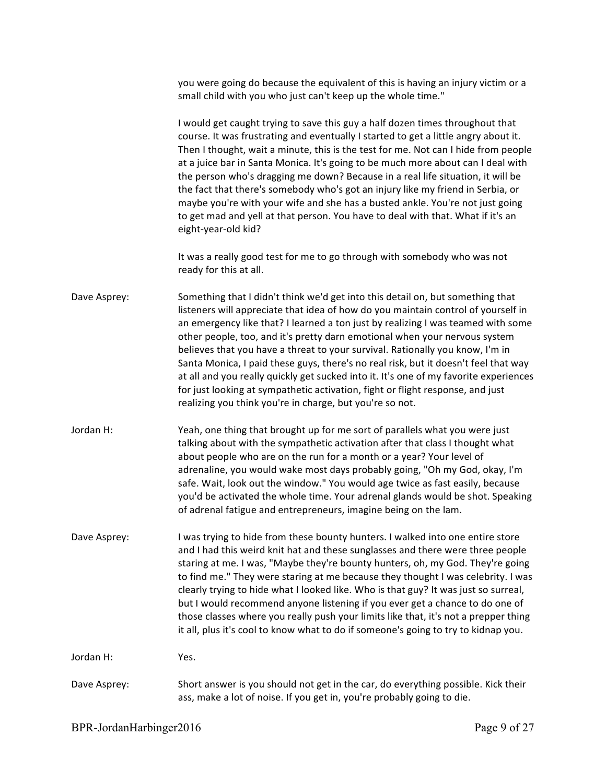you were going do because the equivalent of this is having an injury victim or a small child with you who just can't keep up the whole time."

I would get caught trying to save this guy a half dozen times throughout that course. It was frustrating and eventually I started to get a little angry about it. Then I thought, wait a minute, this is the test for me. Not can I hide from people at a juice bar in Santa Monica. It's going to be much more about can I deal with the person who's dragging me down? Because in a real life situation, it will be the fact that there's somebody who's got an injury like my friend in Serbia, or maybe you're with your wife and she has a busted ankle. You're not just going to get mad and yell at that person. You have to deal with that. What if it's an eight-year-old kid?

It was a really good test for me to go through with somebody who was not ready for this at all.

Dave Asprey: Something that I didn't think we'd get into this detail on, but something that listeners will appreciate that idea of how do you maintain control of yourself in an emergency like that? I learned a ton just by realizing I was teamed with some other people, too, and it's pretty darn emotional when your nervous system believes that you have a threat to your survival. Rationally you know, I'm in Santa Monica, I paid these guys, there's no real risk, but it doesn't feel that way at all and you really quickly get sucked into it. It's one of my favorite experiences for just looking at sympathetic activation, fight or flight response, and just realizing you think you're in charge, but you're so not.

- Jordan H: Yeah, one thing that brought up for me sort of parallels what you were just talking about with the sympathetic activation after that class I thought what about people who are on the run for a month or a year? Your level of adrenaline, you would wake most days probably going, "Oh my God, okay, I'm safe. Wait, look out the window." You would age twice as fast easily, because you'd be activated the whole time. Your adrenal glands would be shot. Speaking of adrenal fatigue and entrepreneurs, imagine being on the lam.
- Dave Asprey: I was trying to hide from these bounty hunters. I walked into one entire store and I had this weird knit hat and these sunglasses and there were three people staring at me. I was, "Maybe they're bounty hunters, oh, my God. They're going to find me." They were staring at me because they thought I was celebrity. I was clearly trying to hide what I looked like. Who is that guy? It was just so surreal, but I would recommend anyone listening if you ever get a chance to do one of those classes where you really push your limits like that, it's not a prepper thing it all, plus it's cool to know what to do if someone's going to try to kidnap you.

Jordan H: Yes.

Dave Asprey: Short answer is you should not get in the car, do everything possible. Kick their ass, make a lot of noise. If you get in, you're probably going to die.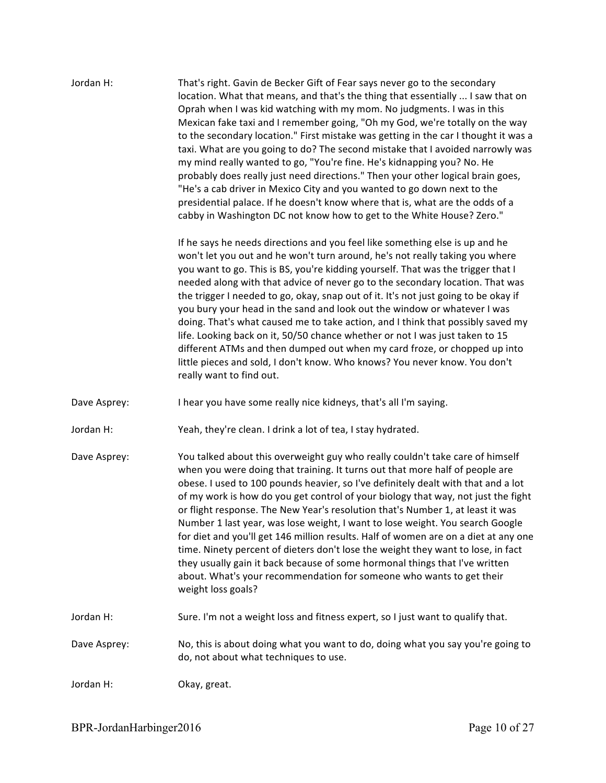| Jordan H:    | That's right. Gavin de Becker Gift of Fear says never go to the secondary<br>location. What that means, and that's the thing that essentially  I saw that on<br>Oprah when I was kid watching with my mom. No judgments. I was in this<br>Mexican fake taxi and I remember going, "Oh my God, we're totally on the way<br>to the secondary location." First mistake was getting in the car I thought it was a<br>taxi. What are you going to do? The second mistake that I avoided narrowly was<br>my mind really wanted to go, "You're fine. He's kidnapping you? No. He<br>probably does really just need directions." Then your other logical brain goes,<br>"He's a cab driver in Mexico City and you wanted to go down next to the<br>presidential palace. If he doesn't know where that is, what are the odds of a<br>cabby in Washington DC not know how to get to the White House? Zero."<br>If he says he needs directions and you feel like something else is up and he<br>won't let you out and he won't turn around, he's not really taking you where |
|--------------|-------------------------------------------------------------------------------------------------------------------------------------------------------------------------------------------------------------------------------------------------------------------------------------------------------------------------------------------------------------------------------------------------------------------------------------------------------------------------------------------------------------------------------------------------------------------------------------------------------------------------------------------------------------------------------------------------------------------------------------------------------------------------------------------------------------------------------------------------------------------------------------------------------------------------------------------------------------------------------------------------------------------------------------------------------------------|
|              | you want to go. This is BS, you're kidding yourself. That was the trigger that I<br>needed along with that advice of never go to the secondary location. That was<br>the trigger I needed to go, okay, snap out of it. It's not just going to be okay if<br>you bury your head in the sand and look out the window or whatever I was<br>doing. That's what caused me to take action, and I think that possibly saved my<br>life. Looking back on it, 50/50 chance whether or not I was just taken to 15<br>different ATMs and then dumped out when my card froze, or chopped up into<br>little pieces and sold, I don't know. Who knows? You never know. You don't<br>really want to find out.                                                                                                                                                                                                                                                                                                                                                                    |
| Dave Asprey: | I hear you have some really nice kidneys, that's all I'm saying.                                                                                                                                                                                                                                                                                                                                                                                                                                                                                                                                                                                                                                                                                                                                                                                                                                                                                                                                                                                                  |
| Jordan H:    | Yeah, they're clean. I drink a lot of tea, I stay hydrated.                                                                                                                                                                                                                                                                                                                                                                                                                                                                                                                                                                                                                                                                                                                                                                                                                                                                                                                                                                                                       |
| Dave Asprey: | You talked about this overweight guy who really couldn't take care of himself<br>when you were doing that training. It turns out that more half of people are<br>obese. I used to 100 pounds heavier, so I've definitely dealt with that and a lot<br>of my work is how do you get control of your biology that way, not just the fight<br>or flight response. The New Year's resolution that's Number 1, at least it was<br>Number 1 last year, was lose weight, I want to lose weight. You search Google<br>for diet and you'll get 146 million results. Half of women are on a diet at any one<br>time. Ninety percent of dieters don't lose the weight they want to lose, in fact<br>they usually gain it back because of some hormonal things that I've written<br>about. What's your recommendation for someone who wants to get their<br>weight loss goals?                                                                                                                                                                                                |
| Jordan H:    | Sure. I'm not a weight loss and fitness expert, so I just want to qualify that.                                                                                                                                                                                                                                                                                                                                                                                                                                                                                                                                                                                                                                                                                                                                                                                                                                                                                                                                                                                   |
| Dave Asprey: | No, this is about doing what you want to do, doing what you say you're going to<br>do, not about what techniques to use.                                                                                                                                                                                                                                                                                                                                                                                                                                                                                                                                                                                                                                                                                                                                                                                                                                                                                                                                          |
| Jordan H:    | Okay, great.                                                                                                                                                                                                                                                                                                                                                                                                                                                                                                                                                                                                                                                                                                                                                                                                                                                                                                                                                                                                                                                      |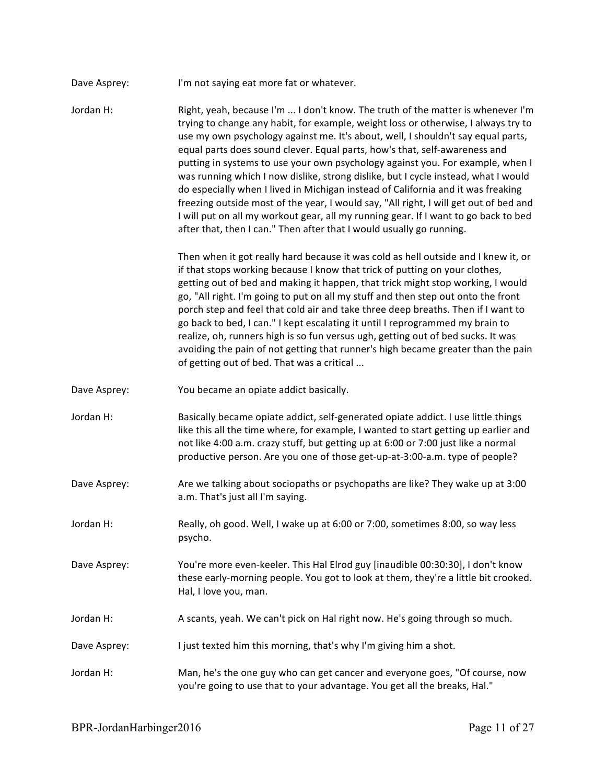| Dave Asprey: | I'm not saying eat more fat or whatever. |
|--------------|------------------------------------------|
|              |                                          |

Jordan H: Right, yeah, because I'm ... I don't know. The truth of the matter is whenever I'm trying to change any habit, for example, weight loss or otherwise, I always try to use my own psychology against me. It's about, well, I shouldn't say equal parts, equal parts does sound clever. Equal parts, how's that, self-awareness and putting in systems to use your own psychology against you. For example, when I was running which I now dislike, strong dislike, but I cycle instead, what I would do especially when I lived in Michigan instead of California and it was freaking freezing outside most of the year, I would say, "All right, I will get out of bed and I will put on all my workout gear, all my running gear. If I want to go back to bed after that, then I can." Then after that I would usually go running.

> Then when it got really hard because it was cold as hell outside and I knew it, or if that stops working because I know that trick of putting on your clothes, getting out of bed and making it happen, that trick might stop working, I would go, "All right. I'm going to put on all my stuff and then step out onto the front porch step and feel that cold air and take three deep breaths. Then if I want to go back to bed, I can." I kept escalating it until I reprogrammed my brain to realize, oh, runners high is so fun versus ugh, getting out of bed sucks. It was avoiding the pain of not getting that runner's high became greater than the pain of getting out of bed. That was a critical ...

- Dave Asprey: You became an opiate addict basically.
- Jordan H: Basically became opiate addict, self-generated opiate addict. I use little things like this all the time where, for example, I wanted to start getting up earlier and not like 4:00 a.m. crazy stuff, but getting up at 6:00 or 7:00 just like a normal productive person. Are you one of those get-up-at-3:00-a.m. type of people?
- Dave Asprey: Are we talking about sociopaths or psychopaths are like? They wake up at 3:00 a.m. That's just all I'm saying.
- Jordan H: Really, oh good. Well, I wake up at 6:00 or 7:00, sometimes 8:00, so way less psycho.
- Dave Asprey: You're more even-keeler. This Hal Elrod guy [inaudible 00:30:30], I don't know these early-morning people. You got to look at them, they're a little bit crooked. Hal, I love you, man.
- Jordan H: A scants, yeah. We can't pick on Hal right now. He's going through so much.
- Dave Asprey: I just texted him this morning, that's why I'm giving him a shot.
- Jordan H: Man, he's the one guy who can get cancer and everyone goes, "Of course, now you're going to use that to your advantage. You get all the breaks, Hal."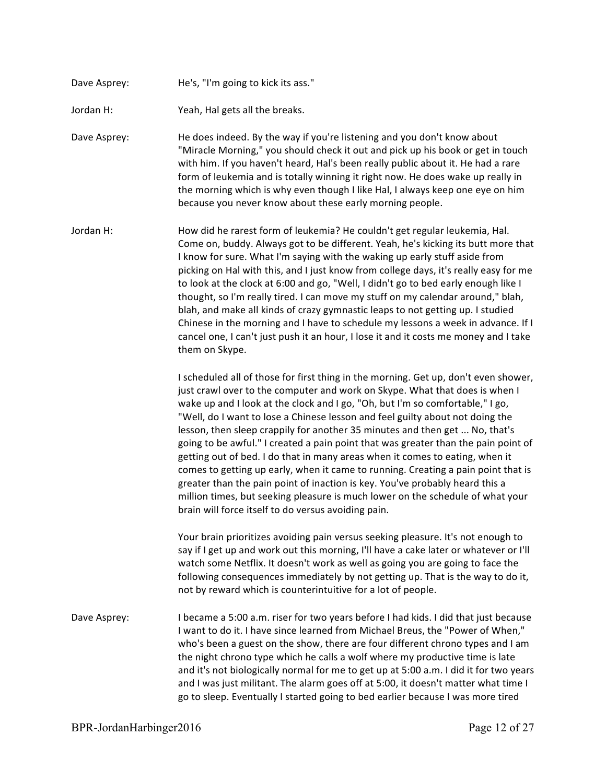- Dave Asprey: He's, "I'm going to kick its ass."
- Jordan H: Yeah, Hal gets all the breaks.

Dave Asprey: He does indeed. By the way if you're listening and you don't know about "Miracle Morning," you should check it out and pick up his book or get in touch with him. If you haven't heard, Hal's been really public about it. He had a rare form of leukemia and is totally winning it right now. He does wake up really in the morning which is why even though I like Hal, I always keep one eye on him because you never know about these early morning people.

Jordan H: How did he rarest form of leukemia? He couldn't get regular leukemia, Hal. Come on, buddy. Always got to be different. Yeah, he's kicking its butt more that I know for sure. What I'm saying with the waking up early stuff aside from picking on Hal with this, and I just know from college days, it's really easy for me to look at the clock at 6:00 and go, "Well, I didn't go to bed early enough like I thought, so I'm really tired. I can move my stuff on my calendar around," blah, blah, and make all kinds of crazy gymnastic leaps to not getting up. I studied Chinese in the morning and I have to schedule my lessons a week in advance. If I cancel one, I can't just push it an hour, I lose it and it costs me money and I take them on Skype.

> I scheduled all of those for first thing in the morning. Get up, don't even shower, just crawl over to the computer and work on Skype. What that does is when I wake up and I look at the clock and I go, "Oh, but I'm so comfortable," I go, "Well, do I want to lose a Chinese lesson and feel guilty about not doing the lesson, then sleep crappily for another 35 minutes and then get ... No, that's going to be awful." I created a pain point that was greater than the pain point of getting out of bed. I do that in many areas when it comes to eating, when it comes to getting up early, when it came to running. Creating a pain point that is greater than the pain point of inaction is key. You've probably heard this a million times, but seeking pleasure is much lower on the schedule of what your brain will force itself to do versus avoiding pain.

> Your brain prioritizes avoiding pain versus seeking pleasure. It's not enough to say if I get up and work out this morning, I'll have a cake later or whatever or I'll watch some Netflix. It doesn't work as well as going you are going to face the following consequences immediately by not getting up. That is the way to do it, not by reward which is counterintuitive for a lot of people.

Dave Asprey: Ibecame a 5:00 a.m. riser for two years before I had kids. I did that just because I want to do it. I have since learned from Michael Breus, the "Power of When," who's been a guest on the show, there are four different chrono types and I am the night chrono type which he calls a wolf where my productive time is late and it's not biologically normal for me to get up at 5:00 a.m. I did it for two years and I was just militant. The alarm goes off at 5:00, it doesn't matter what time I go to sleep. Eventually I started going to bed earlier because I was more tired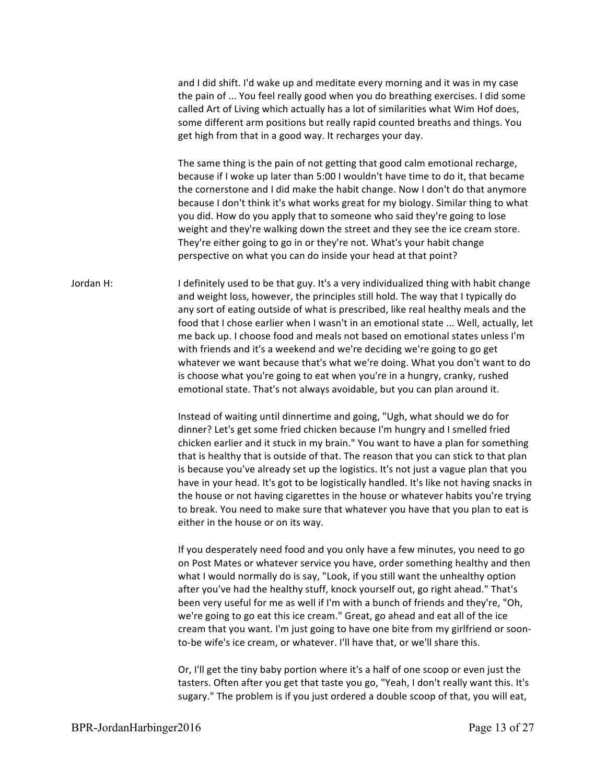and I did shift. I'd wake up and meditate every morning and it was in my case the pain of ... You feel really good when you do breathing exercises. I did some called Art of Living which actually has a lot of similarities what Wim Hof does, some different arm positions but really rapid counted breaths and things. You get high from that in a good way. It recharges your day. The same thing is the pain of not getting that good calm emotional recharge, because if I woke up later than 5:00 I wouldn't have time to do it, that became the cornerstone and I did make the habit change. Now I don't do that anymore because I don't think it's what works great for my biology. Similar thing to what you did. How do you apply that to someone who said they're going to lose weight and they're walking down the street and they see the ice cream store. They're either going to go in or they're not. What's your habit change perspective on what you can do inside your head at that point? Jordan H: I definitely used to be that guy. It's a very individualized thing with habit change and weight loss, however, the principles still hold. The way that I typically do any sort of eating outside of what is prescribed, like real healthy meals and the food that I chose earlier when I wasn't in an emotional state ... Well, actually, let me back up. I choose food and meals not based on emotional states unless I'm with friends and it's a weekend and we're deciding we're going to go get whatever we want because that's what we're doing. What you don't want to do is choose what you're going to eat when you're in a hungry, cranky, rushed emotional state. That's not always avoidable, but you can plan around it.

> Instead of waiting until dinnertime and going, "Ugh, what should we do for dinner? Let's get some fried chicken because I'm hungry and I smelled fried chicken earlier and it stuck in my brain." You want to have a plan for something that is healthy that is outside of that. The reason that you can stick to that plan is because you've already set up the logistics. It's not just a vague plan that you have in your head. It's got to be logistically handled. It's like not having snacks in the house or not having cigarettes in the house or whatever habits you're trying to break. You need to make sure that whatever you have that you plan to eat is either in the house or on its way.

> If you desperately need food and you only have a few minutes, you need to go on Post Mates or whatever service you have, order something healthy and then what I would normally do is say, "Look, if you still want the unhealthy option after you've had the healthy stuff, knock yourself out, go right ahead." That's been very useful for me as well if I'm with a bunch of friends and they're, "Oh, we're going to go eat this ice cream." Great, go ahead and eat all of the ice cream that you want. I'm just going to have one bite from my girlfriend or soonto-be wife's ice cream, or whatever. I'll have that, or we'll share this.

> Or, I'll get the tiny baby portion where it's a half of one scoop or even just the tasters. Often after you get that taste you go, "Yeah, I don't really want this. It's sugary." The problem is if you just ordered a double scoop of that, you will eat,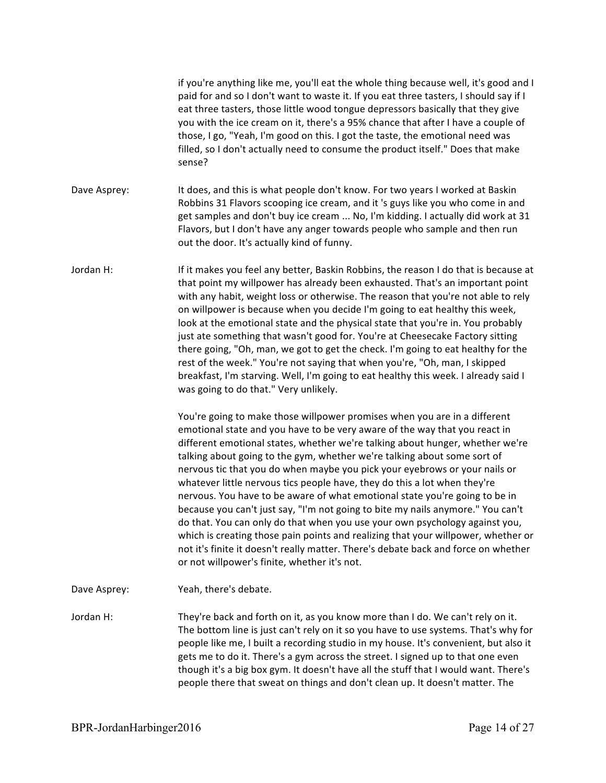|              | if you're anything like me, you'll eat the whole thing because well, it's good and I<br>paid for and so I don't want to waste it. If you eat three tasters, I should say if I<br>eat three tasters, those little wood tongue depressors basically that they give<br>you with the ice cream on it, there's a 95% chance that after I have a couple of<br>those, I go, "Yeah, I'm good on this. I got the taste, the emotional need was<br>filled, so I don't actually need to consume the product itself." Does that make<br>sense?                                                                                                                                                                                                                                                                                                                                                                                                                          |
|--------------|-------------------------------------------------------------------------------------------------------------------------------------------------------------------------------------------------------------------------------------------------------------------------------------------------------------------------------------------------------------------------------------------------------------------------------------------------------------------------------------------------------------------------------------------------------------------------------------------------------------------------------------------------------------------------------------------------------------------------------------------------------------------------------------------------------------------------------------------------------------------------------------------------------------------------------------------------------------|
| Dave Asprey: | It does, and this is what people don't know. For two years I worked at Baskin<br>Robbins 31 Flavors scooping ice cream, and it 's guys like you who come in and<br>get samples and don't buy ice cream  No, I'm kidding. I actually did work at 31<br>Flavors, but I don't have any anger towards people who sample and then run<br>out the door. It's actually kind of funny.                                                                                                                                                                                                                                                                                                                                                                                                                                                                                                                                                                              |
| Jordan H:    | If it makes you feel any better, Baskin Robbins, the reason I do that is because at<br>that point my willpower has already been exhausted. That's an important point<br>with any habit, weight loss or otherwise. The reason that you're not able to rely<br>on willpower is because when you decide I'm going to eat healthy this week,<br>look at the emotional state and the physical state that you're in. You probably<br>just ate something that wasn't good for. You're at Cheesecake Factory sitting<br>there going, "Oh, man, we got to get the check. I'm going to eat healthy for the<br>rest of the week." You're not saying that when you're, "Oh, man, I skipped<br>breakfast, I'm starving. Well, I'm going to eat healthy this week. I already said I<br>was going to do that." Very unlikely.                                                                                                                                              |
|              | You're going to make those willpower promises when you are in a different<br>emotional state and you have to be very aware of the way that you react in<br>different emotional states, whether we're talking about hunger, whether we're<br>talking about going to the gym, whether we're talking about some sort of<br>nervous tic that you do when maybe you pick your eyebrows or your nails or<br>whatever little nervous tics people have, they do this a lot when they're<br>nervous. You have to be aware of what emotional state you're going to be in<br>because you can't just say, "I'm not going to bite my nails anymore." You can't<br>do that. You can only do that when you use your own psychology against you,<br>which is creating those pain points and realizing that your willpower, whether or<br>not it's finite it doesn't really matter. There's debate back and force on whether<br>or not willpower's finite, whether it's not. |
| Dave Asprey: | Yeah, there's debate.                                                                                                                                                                                                                                                                                                                                                                                                                                                                                                                                                                                                                                                                                                                                                                                                                                                                                                                                       |
| Jordan H:    | They're back and forth on it, as you know more than I do. We can't rely on it.<br>The bottom line is just can't rely on it so you have to use systems. That's why for<br>people like me, I built a recording studio in my house. It's convenient, but also it<br>gets me to do it. There's a gym across the street. I signed up to that one even<br>though it's a big box gym. It doesn't have all the stuff that I would want. There's<br>people there that sweat on things and don't clean up. It doesn't matter. The                                                                                                                                                                                                                                                                                                                                                                                                                                     |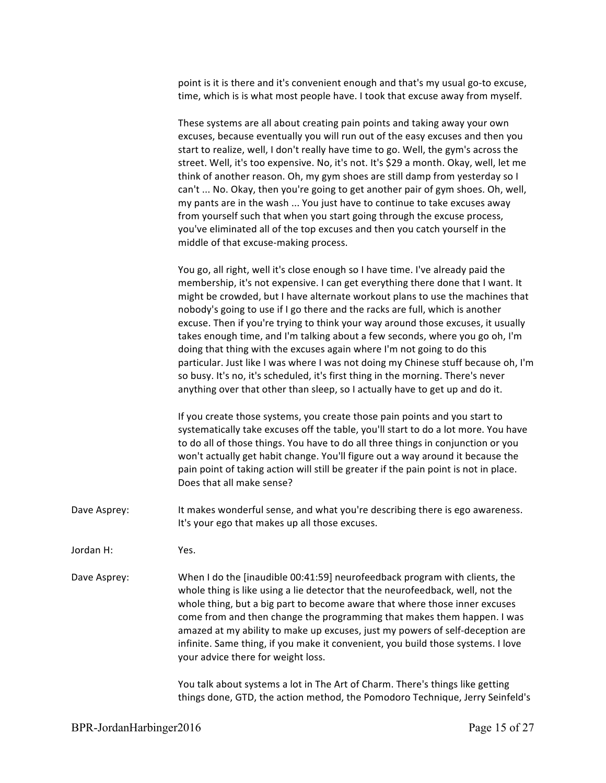point is it is there and it's convenient enough and that's my usual go-to excuse, time, which is is what most people have. I took that excuse away from myself.

These systems are all about creating pain points and taking away your own excuses, because eventually you will run out of the easy excuses and then you start to realize, well, I don't really have time to go. Well, the gym's across the street. Well, it's too expensive. No, it's not. It's \$29 a month. Okay, well, let me think of another reason. Oh, my gym shoes are still damp from yesterday so I can't ... No. Okay, then you're going to get another pair of gym shoes. Oh, well, my pants are in the wash ... You just have to continue to take excuses away from yourself such that when you start going through the excuse process, you've eliminated all of the top excuses and then you catch yourself in the middle of that excuse-making process.

You go, all right, well it's close enough so I have time. I've already paid the membership, it's not expensive. I can get everything there done that I want. It might be crowded, but I have alternate workout plans to use the machines that nobody's going to use if I go there and the racks are full, which is another excuse. Then if you're trying to think your way around those excuses, it usually takes enough time, and I'm talking about a few seconds, where you go oh, I'm doing that thing with the excuses again where I'm not going to do this particular. Just like I was where I was not doing my Chinese stuff because oh, I'm so busy. It's no, it's scheduled, it's first thing in the morning. There's never anything over that other than sleep, so I actually have to get up and do it.

If you create those systems, you create those pain points and you start to systematically take excuses off the table, you'll start to do a lot more. You have to do all of those things. You have to do all three things in conjunction or you won't actually get habit change. You'll figure out a way around it because the pain point of taking action will still be greater if the pain point is not in place. Does that all make sense?

Dave Asprey: It makes wonderful sense, and what you're describing there is ego awareness. It's your ego that makes up all those excuses.

Jordan H: Yes.

Dave Asprey: When I do the [inaudible 00:41:59] neurofeedback program with clients, the whole thing is like using a lie detector that the neurofeedback, well, not the whole thing, but a big part to become aware that where those inner excuses come from and then change the programming that makes them happen. I was amazed at my ability to make up excuses, just my powers of self-deception are infinite. Same thing, if you make it convenient, you build those systems. I love your advice there for weight loss.

> You talk about systems a lot in The Art of Charm. There's things like getting things done, GTD, the action method, the Pomodoro Technique, Jerry Seinfeld's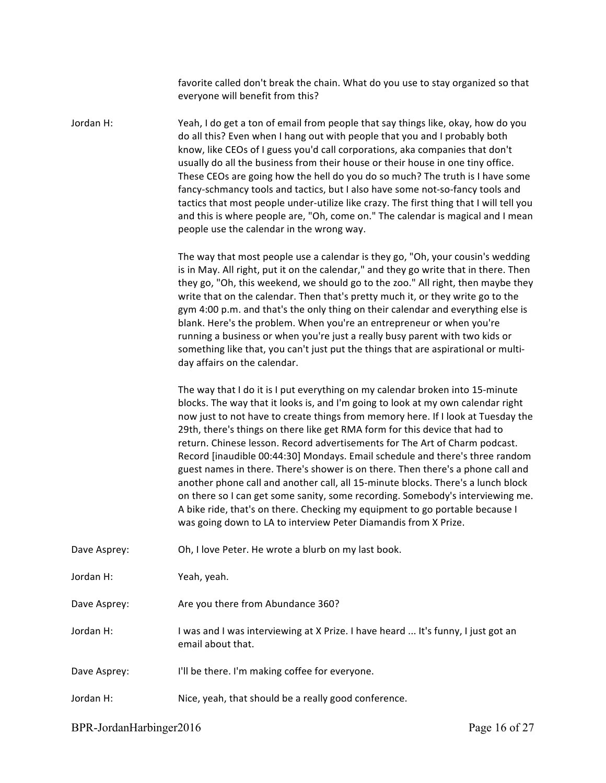favorite called don't break the chain. What do you use to stay organized so that everyone will benefit from this?

Jordan H: Yeah, I do get a ton of email from people that say things like, okay, how do you do all this? Even when I hang out with people that you and I probably both know, like CEOs of I guess you'd call corporations, aka companies that don't usually do all the business from their house or their house in one tiny office. These CEOs are going how the hell do you do so much? The truth is I have some fancy-schmancy tools and tactics, but I also have some not-so-fancy tools and tactics that most people under-utilize like crazy. The first thing that I will tell you and this is where people are, "Oh, come on." The calendar is magical and I mean people use the calendar in the wrong way.

> The way that most people use a calendar is they go, "Oh, your cousin's wedding is in May. All right, put it on the calendar," and they go write that in there. Then they go, "Oh, this weekend, we should go to the zoo." All right, then maybe they write that on the calendar. Then that's pretty much it, or they write go to the gym 4:00 p.m. and that's the only thing on their calendar and everything else is blank. Here's the problem. When you're an entrepreneur or when you're running a business or when you're just a really busy parent with two kids or something like that, you can't just put the things that are aspirational or multiday affairs on the calendar.

> The way that I do it is I put everything on my calendar broken into 15-minute blocks. The way that it looks is, and I'm going to look at my own calendar right now just to not have to create things from memory here. If I look at Tuesday the 29th, there's things on there like get RMA form for this device that had to return. Chinese lesson. Record advertisements for The Art of Charm podcast. Record [inaudible 00:44:30] Mondays. Email schedule and there's three random guest names in there. There's shower is on there. Then there's a phone call and another phone call and another call, all 15-minute blocks. There's a lunch block on there so I can get some sanity, some recording. Somebody's interviewing me. A bike ride, that's on there. Checking my equipment to go portable because I was going down to LA to interview Peter Diamandis from X Prize.

- Dave Asprey: Oh, I love Peter. He wrote a blurb on my last book.
- Jordan H: Yeah, yeah.
- Dave Asprey: Are you there from Abundance 360?
- Jordan H: Iwas and I was interviewing at X Prize. I have heard ... It's funny, I just got an email about that.
- Dave Asprey: I'll be there. I'm making coffee for everyone.
- Jordan H: Nice, yeah, that should be a really good conference.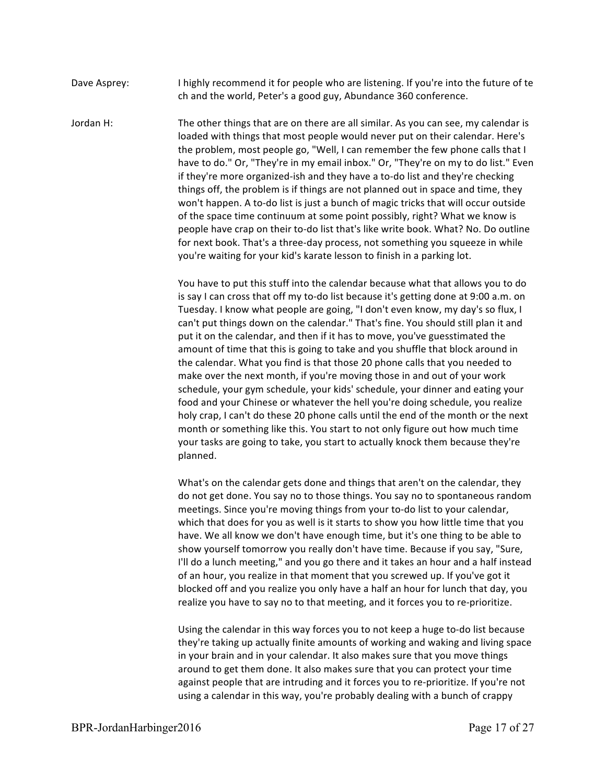## Dave Asprey: Inighly recommend it for people who are listening. If you're into the future of te ch and the world, Peter's a good guy, Abundance 360 conference.

Jordan H: The other things that are on there are all similar. As you can see, my calendar is loaded with things that most people would never put on their calendar. Here's the problem, most people go, "Well, I can remember the few phone calls that I have to do." Or, "They're in my email inbox." Or, "They're on my to do list." Even if they're more organized-ish and they have a to-do list and they're checking things off, the problem is if things are not planned out in space and time, they won't happen. A to-do list is just a bunch of magic tricks that will occur outside of the space time continuum at some point possibly, right? What we know is people have crap on their to-do list that's like write book. What? No. Do outline for next book. That's a three-day process, not something you squeeze in while you're waiting for your kid's karate lesson to finish in a parking lot.

> You have to put this stuff into the calendar because what that allows you to do is say I can cross that off my to-do list because it's getting done at 9:00 a.m. on Tuesday. I know what people are going, "I don't even know, my day's so flux, I can't put things down on the calendar." That's fine. You should still plan it and put it on the calendar, and then if it has to move, you've guesstimated the amount of time that this is going to take and you shuffle that block around in the calendar. What you find is that those 20 phone calls that you needed to make over the next month, if you're moving those in and out of your work schedule, your gym schedule, your kids' schedule, your dinner and eating your food and your Chinese or whatever the hell you're doing schedule, you realize holy crap, I can't do these 20 phone calls until the end of the month or the next month or something like this. You start to not only figure out how much time your tasks are going to take, you start to actually knock them because they're planned.

> What's on the calendar gets done and things that aren't on the calendar, they do not get done. You say no to those things. You say no to spontaneous random meetings. Since you're moving things from your to-do list to your calendar, which that does for you as well is it starts to show you how little time that you have. We all know we don't have enough time, but it's one thing to be able to show yourself tomorrow you really don't have time. Because if you say, "Sure, I'll do a lunch meeting," and you go there and it takes an hour and a half instead of an hour, you realize in that moment that you screwed up. If you've got it blocked off and you realize you only have a half an hour for lunch that day, you realize you have to say no to that meeting, and it forces you to re-prioritize.

> Using the calendar in this way forces you to not keep a huge to-do list because they're taking up actually finite amounts of working and waking and living space in your brain and in your calendar. It also makes sure that you move things around to get them done. It also makes sure that you can protect your time against people that are intruding and it forces you to re-prioritize. If you're not using a calendar in this way, you're probably dealing with a bunch of crappy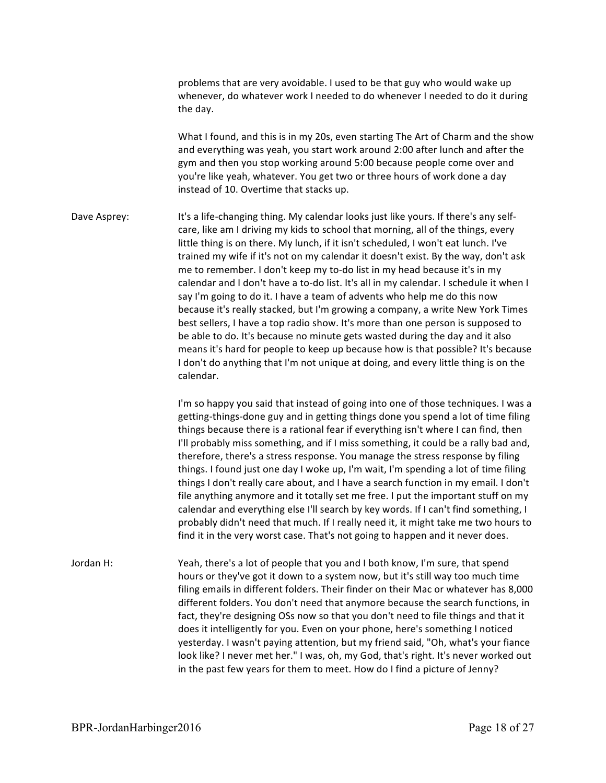problems that are very avoidable. I used to be that guy who would wake up whenever, do whatever work I needed to do whenever I needed to do it during the day.

What I found, and this is in my 20s, even starting The Art of Charm and the show and everything was yeah, you start work around 2:00 after lunch and after the gym and then you stop working around 5:00 because people come over and you're like yeah, whatever. You get two or three hours of work done a day instead of 10. Overtime that stacks up.

Dave Asprey: It's a life-changing thing. My calendar looks just like yours. If there's any selfcare, like am I driving my kids to school that morning, all of the things, every little thing is on there. My lunch, if it isn't scheduled, I won't eat lunch. I've trained my wife if it's not on my calendar it doesn't exist. By the way, don't ask me to remember. I don't keep my to-do list in my head because it's in my calendar and I don't have a to-do list. It's all in my calendar. I schedule it when I say I'm going to do it. I have a team of advents who help me do this now because it's really stacked, but I'm growing a company, a write New York Times best sellers, I have a top radio show. It's more than one person is supposed to be able to do. It's because no minute gets wasted during the day and it also means it's hard for people to keep up because how is that possible? It's because I don't do anything that I'm not unique at doing, and every little thing is on the calendar.

> I'm so happy you said that instead of going into one of those techniques. I was a getting-things-done guy and in getting things done you spend a lot of time filing things because there is a rational fear if everything isn't where I can find, then I'll probably miss something, and if I miss something, it could be a rally bad and, therefore, there's a stress response. You manage the stress response by filing things. I found just one day I woke up, I'm wait, I'm spending a lot of time filing things I don't really care about, and I have a search function in my email. I don't file anything anymore and it totally set me free. I put the important stuff on my calendar and everything else I'll search by key words. If I can't find something, I probably didn't need that much. If I really need it, it might take me two hours to find it in the very worst case. That's not going to happen and it never does.

Jordan H: Yeah, there's a lot of people that you and I both know, I'm sure, that spend hours or they've got it down to a system now, but it's still way too much time filing emails in different folders. Their finder on their Mac or whatever has 8,000 different folders. You don't need that anymore because the search functions, in fact, they're designing OSs now so that you don't need to file things and that it does it intelligently for you. Even on your phone, here's something I noticed yesterday. I wasn't paying attention, but my friend said, "Oh, what's your fiance look like? I never met her." I was, oh, my God, that's right. It's never worked out in the past few years for them to meet. How do I find a picture of Jenny?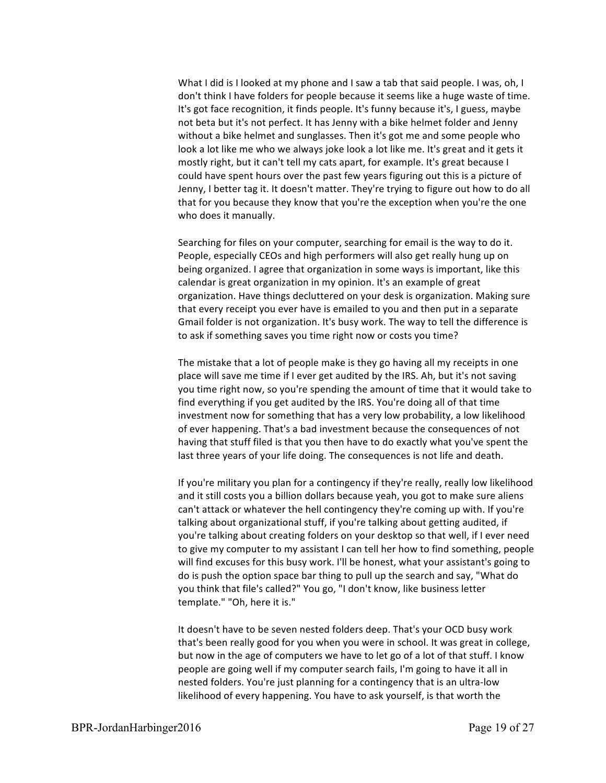What I did is I looked at my phone and I saw a tab that said people. I was, oh, I don't think I have folders for people because it seems like a huge waste of time. It's got face recognition, it finds people. It's funny because it's, I guess, maybe not beta but it's not perfect. It has Jenny with a bike helmet folder and Jenny without a bike helmet and sunglasses. Then it's got me and some people who look a lot like me who we always joke look a lot like me. It's great and it gets it mostly right, but it can't tell my cats apart, for example. It's great because I could have spent hours over the past few years figuring out this is a picture of Jenny, I better tag it. It doesn't matter. They're trying to figure out how to do all that for you because they know that you're the exception when you're the one who does it manually.

Searching for files on your computer, searching for email is the way to do it. People, especially CEOs and high performers will also get really hung up on being organized. I agree that organization in some ways is important, like this calendar is great organization in my opinion. It's an example of great organization. Have things decluttered on your desk is organization. Making sure that every receipt you ever have is emailed to you and then put in a separate Gmail folder is not organization. It's busy work. The way to tell the difference is to ask if something saves you time right now or costs you time?

The mistake that a lot of people make is they go having all my receipts in one place will save me time if I ever get audited by the IRS. Ah, but it's not saving you time right now, so you're spending the amount of time that it would take to find everything if you get audited by the IRS. You're doing all of that time investment now for something that has a very low probability, a low likelihood of ever happening. That's a bad investment because the consequences of not having that stuff filed is that you then have to do exactly what you've spent the last three years of your life doing. The consequences is not life and death.

If you're military you plan for a contingency if they're really, really low likelihood and it still costs you a billion dollars because yeah, you got to make sure aliens can't attack or whatever the hell contingency they're coming up with. If you're talking about organizational stuff, if you're talking about getting audited, if you're talking about creating folders on your desktop so that well, if I ever need to give my computer to my assistant I can tell her how to find something, people will find excuses for this busy work. I'll be honest, what your assistant's going to do is push the option space bar thing to pull up the search and say, "What do you think that file's called?" You go, "I don't know, like business letter template." "Oh, here it is."

It doesn't have to be seven nested folders deep. That's your OCD busy work that's been really good for you when you were in school. It was great in college, but now in the age of computers we have to let go of a lot of that stuff. I know people are going well if my computer search fails, I'm going to have it all in nested folders. You're just planning for a contingency that is an ultra-low likelihood of every happening. You have to ask yourself, is that worth the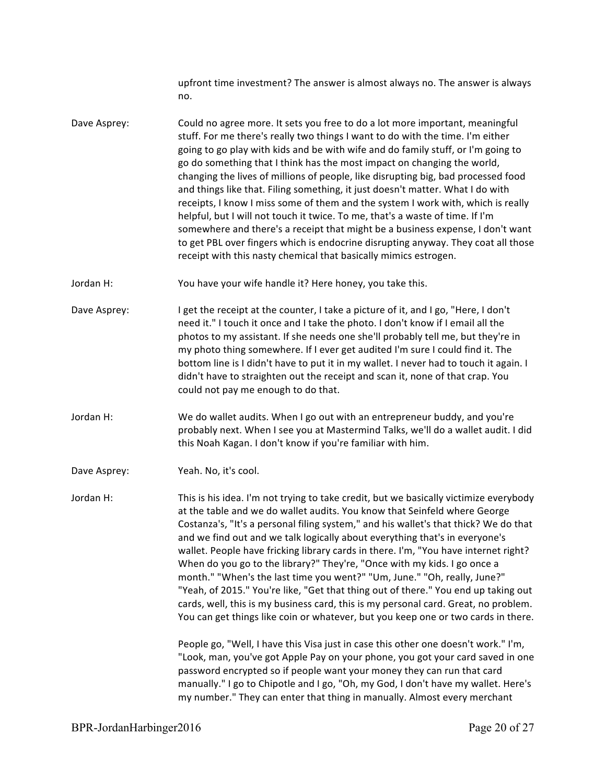upfront time investment? The answer is almost always no. The answer is always no.

- Dave Asprey: Could no agree more. It sets you free to do a lot more important, meaningful stuff. For me there's really two things I want to do with the time. I'm either going to go play with kids and be with wife and do family stuff, or I'm going to go do something that I think has the most impact on changing the world, changing the lives of millions of people, like disrupting big, bad processed food and things like that. Filing something, it just doesn't matter. What I do with receipts, I know I miss some of them and the system I work with, which is really helpful, but I will not touch it twice. To me, that's a waste of time. If I'm somewhere and there's a receipt that might be a business expense, I don't want to get PBL over fingers which is endocrine disrupting anyway. They coat all those receipt with this nasty chemical that basically mimics estrogen.
- Jordan H: You have your wife handle it? Here honey, you take this.
- Dave Asprey: I get the receipt at the counter, I take a picture of it, and I go, "Here, I don't need it." I touch it once and I take the photo. I don't know if I email all the photos to my assistant. If she needs one she'll probably tell me, but they're in my photo thing somewhere. If I ever get audited I'm sure I could find it. The bottom line is I didn't have to put it in my wallet. I never had to touch it again. I didn't have to straighten out the receipt and scan it, none of that crap. You could not pay me enough to do that.
- Jordan H: We do wallet audits. When I go out with an entrepreneur buddy, and you're probably next. When I see you at Mastermind Talks, we'll do a wallet audit. I did this Noah Kagan. I don't know if you're familiar with him.
- Dave Asprey: Yeah. No, it's cool.

Jordan H: This is his idea. I'm not trying to take credit, but we basically victimize everybody at the table and we do wallet audits. You know that Seinfeld where George Costanza's, "It's a personal filing system," and his wallet's that thick? We do that and we find out and we talk logically about everything that's in everyone's wallet. People have fricking library cards in there. I'm, "You have internet right? When do you go to the library?" They're, "Once with my kids. I go once a month." "When's the last time you went?" "Um, June." "Oh, really, June?" "Yeah, of 2015." You're like, "Get that thing out of there." You end up taking out cards, well, this is my business card, this is my personal card. Great, no problem. You can get things like coin or whatever, but you keep one or two cards in there.

> People go, "Well, I have this Visa just in case this other one doesn't work." I'm, "Look, man, you've got Apple Pay on your phone, you got your card saved in one password encrypted so if people want your money they can run that card manually." I go to Chipotle and I go, "Oh, my God, I don't have my wallet. Here's my number." They can enter that thing in manually. Almost every merchant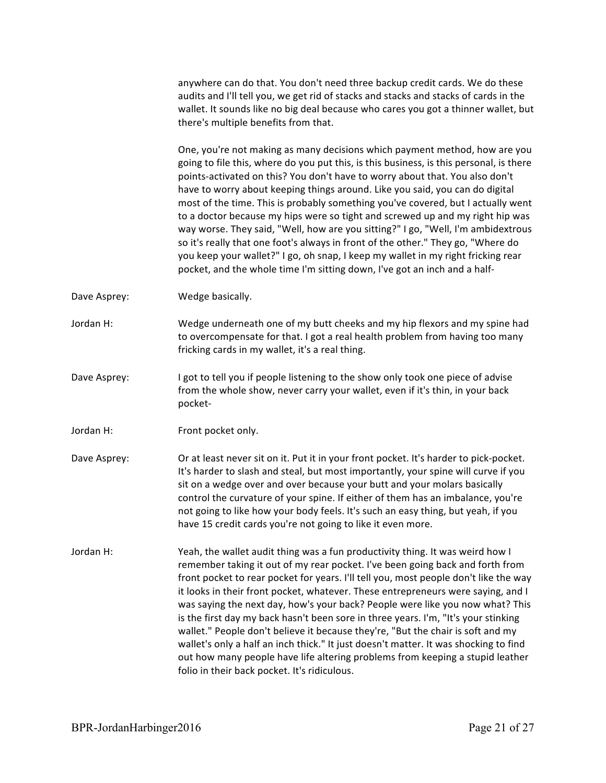anywhere can do that. You don't need three backup credit cards. We do these audits and I'll tell you, we get rid of stacks and stacks and stacks of cards in the wallet. It sounds like no big deal because who cares you got a thinner wallet, but there's multiple benefits from that.

One, you're not making as many decisions which payment method, how are you going to file this, where do you put this, is this business, is this personal, is there points-activated on this? You don't have to worry about that. You also don't have to worry about keeping things around. Like you said, you can do digital most of the time. This is probably something you've covered, but I actually went to a doctor because my hips were so tight and screwed up and my right hip was way worse. They said, "Well, how are you sitting?" I go, "Well, I'm ambidextrous so it's really that one foot's always in front of the other." They go, "Where do you keep your wallet?" I go, oh snap, I keep my wallet in my right fricking rear pocket, and the whole time I'm sitting down, I've got an inch and a half-

- Dave Asprey: Wedge basically.
- Jordan H: Wedge underneath one of my butt cheeks and my hip flexors and my spine had to overcompensate for that. I got a real health problem from having too many fricking cards in my wallet, it's a real thing.
- Dave Asprey: I got to tell you if people listening to the show only took one piece of advise from the whole show, never carry your wallet, even if it's thin, in your back pocket-
- Jordan H: Front pocket only.
- Dave Asprey: Or at least never sit on it. Put it in your front pocket. It's harder to pick-pocket. It's harder to slash and steal, but most importantly, your spine will curve if you sit on a wedge over and over because your butt and your molars basically control the curvature of your spine. If either of them has an imbalance, you're not going to like how your body feels. It's such an easy thing, but yeah, if you have 15 credit cards you're not going to like it even more.
- Jordan H: Yeah, the wallet audit thing was a fun productivity thing. It was weird how I remember taking it out of my rear pocket. I've been going back and forth from front pocket to rear pocket for years. I'll tell you, most people don't like the way it looks in their front pocket, whatever. These entrepreneurs were saying, and I was saying the next day, how's your back? People were like you now what? This is the first day my back hasn't been sore in three years. I'm, "It's your stinking wallet." People don't believe it because they're, "But the chair is soft and my wallet's only a half an inch thick." It just doesn't matter. It was shocking to find out how many people have life altering problems from keeping a stupid leather folio in their back pocket. It's ridiculous.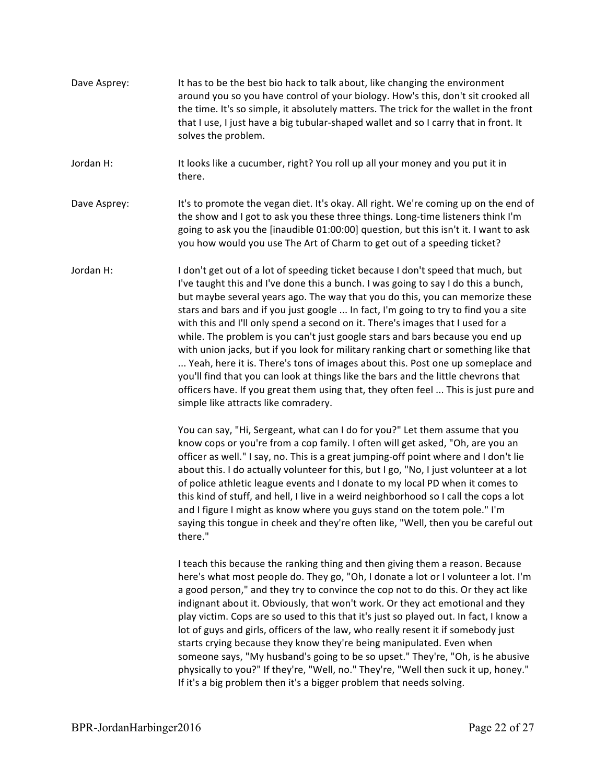- Dave Asprey: It has to be the best bio hack to talk about, like changing the environment around you so you have control of your biology. How's this, don't sit crooked all the time. It's so simple, it absolutely matters. The trick for the wallet in the front that I use, I just have a big tubular-shaped wallet and so I carry that in front. It solves the problem.
- Jordan H: It looks like a cucumber, right? You roll up all your money and you put it in there.
- Dave Asprey: It's to promote the vegan diet. It's okay. All right. We're coming up on the end of the show and I got to ask you these three things. Long-time listeners think I'm going to ask you the [inaudible  $01:00:00$ ] question, but this isn't it. I want to ask you how would you use The Art of Charm to get out of a speeding ticket?
- Jordan H: I don't get out of a lot of speeding ticket because I don't speed that much, but I've taught this and I've done this a bunch. I was going to say I do this a bunch, but maybe several years ago. The way that you do this, you can memorize these stars and bars and if you just google ... In fact, I'm going to try to find you a site with this and I'll only spend a second on it. There's images that I used for a while. The problem is you can't just google stars and bars because you end up with union jacks, but if you look for military ranking chart or something like that ... Yeah, here it is. There's tons of images about this. Post one up someplace and you'll find that you can look at things like the bars and the little chevrons that officers have. If you great them using that, they often feel ... This is just pure and simple like attracts like comradery.

You can say, "Hi, Sergeant, what can I do for you?" Let them assume that you know cops or you're from a cop family. I often will get asked, "Oh, are you an officer as well." I say, no. This is a great jumping-off point where and I don't lie about this. I do actually volunteer for this, but I go, "No, I just volunteer at a lot of police athletic league events and I donate to my local PD when it comes to this kind of stuff, and hell, I live in a weird neighborhood so I call the cops a lot and I figure I might as know where you guys stand on the totem pole." I'm saying this tongue in cheek and they're often like, "Well, then you be careful out there." 

I teach this because the ranking thing and then giving them a reason. Because here's what most people do. They go, "Oh, I donate a lot or I volunteer a lot. I'm a good person," and they try to convince the cop not to do this. Or they act like indignant about it. Obviously, that won't work. Or they act emotional and they play victim. Cops are so used to this that it's just so played out. In fact, I know a lot of guys and girls, officers of the law, who really resent it if somebody just starts crying because they know they're being manipulated. Even when someone says, "My husband's going to be so upset." They're, "Oh, is he abusive physically to you?" If they're, "Well, no." They're, "Well then suck it up, honey." If it's a big problem then it's a bigger problem that needs solving.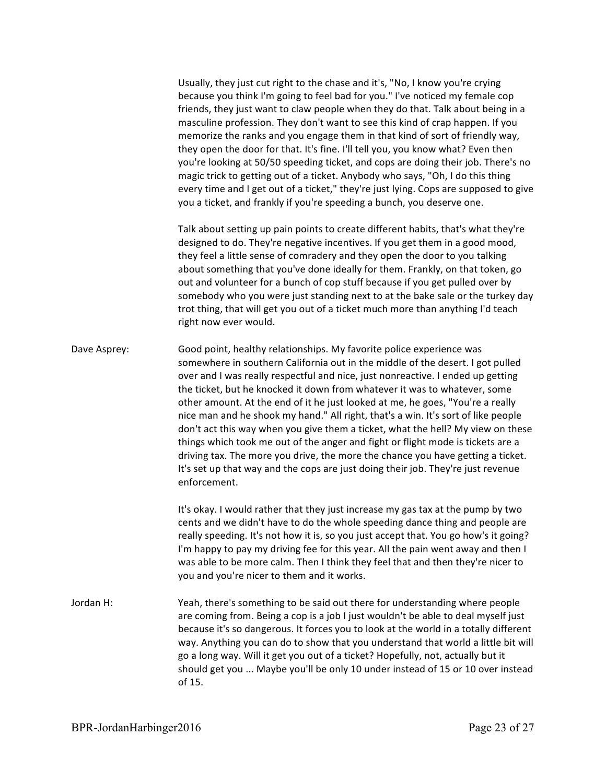Usually, they just cut right to the chase and it's, "No, I know you're crying because you think I'm going to feel bad for you." I've noticed my female cop friends, they just want to claw people when they do that. Talk about being in a masculine profession. They don't want to see this kind of crap happen. If you memorize the ranks and you engage them in that kind of sort of friendly way, they open the door for that. It's fine. I'll tell you, you know what? Even then you're looking at 50/50 speeding ticket, and cops are doing their job. There's no magic trick to getting out of a ticket. Anybody who says, "Oh, I do this thing every time and I get out of a ticket," they're just lying. Cops are supposed to give you a ticket, and frankly if you're speeding a bunch, you deserve one.

Talk about setting up pain points to create different habits, that's what they're designed to do. They're negative incentives. If you get them in a good mood, they feel a little sense of comradery and they open the door to you talking about something that you've done ideally for them. Frankly, on that token, go out and volunteer for a bunch of cop stuff because if you get pulled over by somebody who you were just standing next to at the bake sale or the turkey day trot thing, that will get you out of a ticket much more than anything I'd teach right now ever would.

Dave Asprey: Good point, healthy relationships. My favorite police experience was somewhere in southern California out in the middle of the desert. I got pulled over and I was really respectful and nice, just nonreactive. I ended up getting the ticket, but he knocked it down from whatever it was to whatever, some other amount. At the end of it he just looked at me, he goes, "You're a really nice man and he shook my hand." All right, that's a win. It's sort of like people don't act this way when you give them a ticket, what the hell? My view on these things which took me out of the anger and fight or flight mode is tickets are a driving tax. The more you drive, the more the chance you have getting a ticket. It's set up that way and the cops are just doing their job. They're just revenue enforcement. 

> It's okay. I would rather that they just increase my gas tax at the pump by two cents and we didn't have to do the whole speeding dance thing and people are really speeding. It's not how it is, so you just accept that. You go how's it going? I'm happy to pay my driving fee for this year. All the pain went away and then I was able to be more calm. Then I think they feel that and then they're nicer to you and you're nicer to them and it works.

Jordan H: Yeah, there's something to be said out there for understanding where people are coming from. Being a cop is a job I just wouldn't be able to deal myself just because it's so dangerous. It forces you to look at the world in a totally different way. Anything you can do to show that you understand that world a little bit will go a long way. Will it get you out of a ticket? Hopefully, not, actually but it should get you ... Maybe you'll be only 10 under instead of 15 or 10 over instead of 15.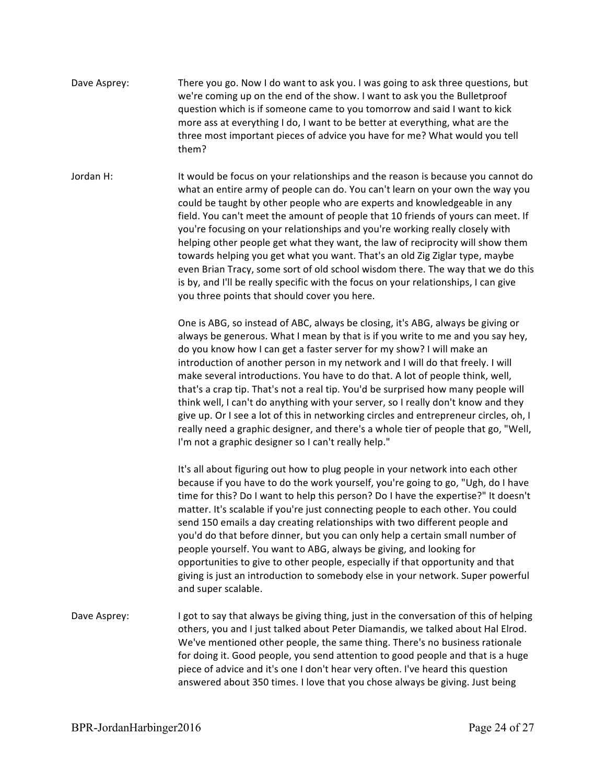Dave Asprey: There you go. Now I do want to ask you. I was going to ask three questions, but we're coming up on the end of the show. I want to ask you the Bulletproof question which is if someone came to you tomorrow and said I want to kick more ass at everything I do, I want to be better at everything, what are the three most important pieces of advice you have for me? What would you tell them?

Jordan H: It would be focus on your relationships and the reason is because you cannot do what an entire army of people can do. You can't learn on your own the way you could be taught by other people who are experts and knowledgeable in any field. You can't meet the amount of people that 10 friends of yours can meet. If you're focusing on your relationships and you're working really closely with helping other people get what they want, the law of reciprocity will show them towards helping you get what you want. That's an old Zig Ziglar type, maybe even Brian Tracy, some sort of old school wisdom there. The way that we do this is by, and I'll be really specific with the focus on your relationships, I can give you three points that should cover you here.

> One is ABG, so instead of ABC, always be closing, it's ABG, always be giving or always be generous. What I mean by that is if you write to me and you say hey, do you know how I can get a faster server for my show? I will make an introduction of another person in my network and I will do that freely. I will make several introductions. You have to do that. A lot of people think, well, that's a crap tip. That's not a real tip. You'd be surprised how many people will think well, I can't do anything with your server, so I really don't know and they give up. Or I see a lot of this in networking circles and entrepreneur circles, oh, I really need a graphic designer, and there's a whole tier of people that go, "Well, I'm not a graphic designer so I can't really help."

> It's all about figuring out how to plug people in your network into each other because if you have to do the work yourself, you're going to go, "Ugh, do I have time for this? Do I want to help this person? Do I have the expertise?" It doesn't matter. It's scalable if you're just connecting people to each other. You could send 150 emails a day creating relationships with two different people and you'd do that before dinner, but you can only help a certain small number of people yourself. You want to ABG, always be giving, and looking for opportunities to give to other people, especially if that opportunity and that giving is just an introduction to somebody else in your network. Super powerful and super scalable.

Dave Asprey: I got to say that always be giving thing, just in the conversation of this of helping others, you and I just talked about Peter Diamandis, we talked about Hal Elrod. We've mentioned other people, the same thing. There's no business rationale for doing it. Good people, you send attention to good people and that is a huge piece of advice and it's one I don't hear very often. I've heard this question answered about 350 times. I love that you chose always be giving. Just being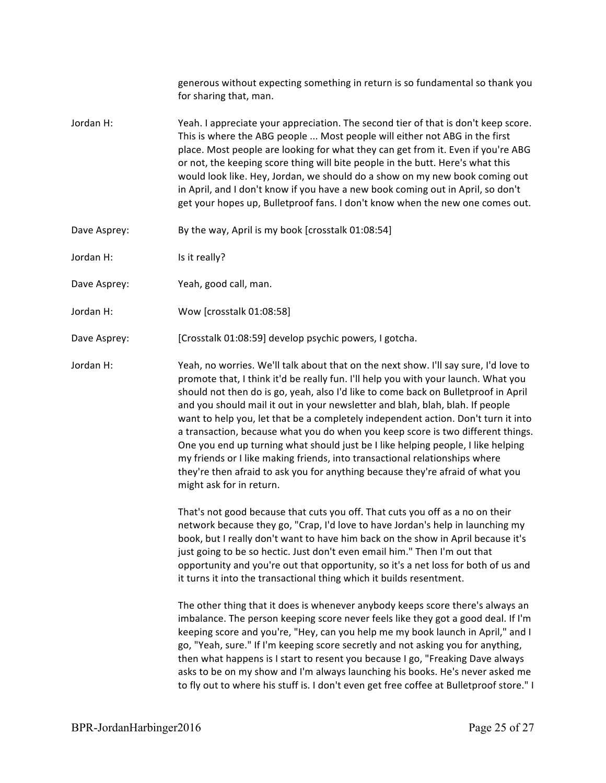generous without expecting something in return is so fundamental so thank you for sharing that, man.

- Jordan H: Yeah. I appreciate your appreciation. The second tier of that is don't keep score. This is where the ABG people ... Most people will either not ABG in the first place. Most people are looking for what they can get from it. Even if you're ABG or not, the keeping score thing will bite people in the butt. Here's what this would look like. Hey, Jordan, we should do a show on my new book coming out in April, and I don't know if you have a new book coming out in April, so don't get your hopes up, Bulletproof fans. I don't know when the new one comes out.
- Dave Asprey: By the way, April is my book [crosstalk 01:08:54]
- Jordan H: Is it really?
- Dave Asprey: Yeah, good call, man.
- Jordan H: Wow [crosstalk 01:08:58]
- Dave Asprey: [Crosstalk 01:08:59] develop psychic powers, I gotcha.

Jordan H: Yeah, no worries. We'll talk about that on the next show. I'll say sure, I'd love to promote that, I think it'd be really fun. I'll help you with your launch. What you should not then do is go, yeah, also I'd like to come back on Bulletproof in April and you should mail it out in your newsletter and blah, blah, blah. If people want to help you, let that be a completely independent action. Don't turn it into a transaction, because what you do when you keep score is two different things. One you end up turning what should just be I like helping people, I like helping my friends or I like making friends, into transactional relationships where they're then afraid to ask you for anything because they're afraid of what you might ask for in return.

> That's not good because that cuts you off. That cuts you off as a no on their network because they go, "Crap, I'd love to have Jordan's help in launching my book, but I really don't want to have him back on the show in April because it's just going to be so hectic. Just don't even email him." Then I'm out that opportunity and you're out that opportunity, so it's a net loss for both of us and it turns it into the transactional thing which it builds resentment.

The other thing that it does is whenever anybody keeps score there's always an imbalance. The person keeping score never feels like they got a good deal. If I'm keeping score and you're, "Hey, can you help me my book launch in April," and I go, "Yeah, sure." If I'm keeping score secretly and not asking you for anything, then what happens is I start to resent you because I go, "Freaking Dave always asks to be on my show and I'm always launching his books. He's never asked me to fly out to where his stuff is. I don't even get free coffee at Bulletproof store." I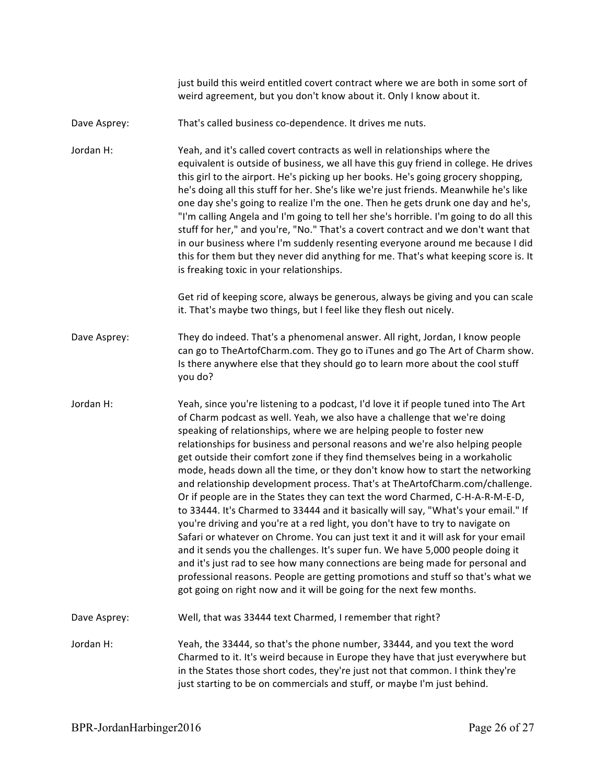|              | just build this weird entitled covert contract where we are both in some sort of<br>weird agreement, but you don't know about it. Only I know about it.                                                                                                                                                                                                                                                                                                                                                                                                                                                                                                                                                                                                                                                                                                                                                                                                                                                                                                                                                                                                                                                                                                |
|--------------|--------------------------------------------------------------------------------------------------------------------------------------------------------------------------------------------------------------------------------------------------------------------------------------------------------------------------------------------------------------------------------------------------------------------------------------------------------------------------------------------------------------------------------------------------------------------------------------------------------------------------------------------------------------------------------------------------------------------------------------------------------------------------------------------------------------------------------------------------------------------------------------------------------------------------------------------------------------------------------------------------------------------------------------------------------------------------------------------------------------------------------------------------------------------------------------------------------------------------------------------------------|
| Dave Asprey: | That's called business co-dependence. It drives me nuts.                                                                                                                                                                                                                                                                                                                                                                                                                                                                                                                                                                                                                                                                                                                                                                                                                                                                                                                                                                                                                                                                                                                                                                                               |
| Jordan H:    | Yeah, and it's called covert contracts as well in relationships where the<br>equivalent is outside of business, we all have this guy friend in college. He drives<br>this girl to the airport. He's picking up her books. He's going grocery shopping,<br>he's doing all this stuff for her. She's like we're just friends. Meanwhile he's like<br>one day she's going to realize I'm the one. Then he gets drunk one day and he's,<br>"I'm calling Angela and I'm going to tell her she's horrible. I'm going to do all this<br>stuff for her," and you're, "No." That's a covert contract and we don't want that<br>in our business where I'm suddenly resenting everyone around me because I did<br>this for them but they never did anything for me. That's what keeping score is. It<br>is freaking toxic in your relationships.                                                                                                                                                                                                                                                                                                                                                                                                                  |
|              | Get rid of keeping score, always be generous, always be giving and you can scale<br>it. That's maybe two things, but I feel like they flesh out nicely.                                                                                                                                                                                                                                                                                                                                                                                                                                                                                                                                                                                                                                                                                                                                                                                                                                                                                                                                                                                                                                                                                                |
| Dave Asprey: | They do indeed. That's a phenomenal answer. All right, Jordan, I know people<br>can go to TheArtofCharm.com. They go to iTunes and go The Art of Charm show.<br>Is there anywhere else that they should go to learn more about the cool stuff<br>you do?                                                                                                                                                                                                                                                                                                                                                                                                                                                                                                                                                                                                                                                                                                                                                                                                                                                                                                                                                                                               |
| Jordan H:    | Yeah, since you're listening to a podcast, I'd love it if people tuned into The Art<br>of Charm podcast as well. Yeah, we also have a challenge that we're doing<br>speaking of relationships, where we are helping people to foster new<br>relationships for business and personal reasons and we're also helping people<br>get outside their comfort zone if they find themselves being in a workaholic<br>mode, heads down all the time, or they don't know how to start the networking<br>and relationship development process. That's at TheArtofCharm.com/challenge.<br>Or if people are in the States they can text the word Charmed, C-H-A-R-M-E-D,<br>to 33444. It's Charmed to 33444 and it basically will say, "What's your email." If<br>you're driving and you're at a red light, you don't have to try to navigate on<br>Safari or whatever on Chrome. You can just text it and it will ask for your email<br>and it sends you the challenges. It's super fun. We have 5,000 people doing it<br>and it's just rad to see how many connections are being made for personal and<br>professional reasons. People are getting promotions and stuff so that's what we<br>got going on right now and it will be going for the next few months. |
| Dave Asprey: | Well, that was 33444 text Charmed, I remember that right?                                                                                                                                                                                                                                                                                                                                                                                                                                                                                                                                                                                                                                                                                                                                                                                                                                                                                                                                                                                                                                                                                                                                                                                              |
| Jordan H:    | Yeah, the 33444, so that's the phone number, 33444, and you text the word<br>Charmed to it. It's weird because in Europe they have that just everywhere but<br>in the States those short codes, they're just not that common. I think they're<br>just starting to be on commercials and stuff, or maybe I'm just behind.                                                                                                                                                                                                                                                                                                                                                                                                                                                                                                                                                                                                                                                                                                                                                                                                                                                                                                                               |